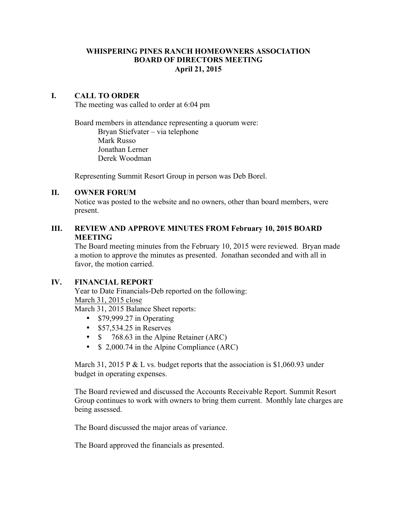### **WHISPERING PINES RANCH HOMEOWNERS ASSOCIATION BOARD OF DIRECTORS MEETING April 21, 2015**

## **I. CALL TO ORDER**

The meeting was called to order at 6:04 pm

Board members in attendance representing a quorum were: Bryan Stiefvater – via telephone Mark Russo Jonathan Lerner Derek Woodman

Representing Summit Resort Group in person was Deb Borel.

## **II. OWNER FORUM**

Notice was posted to the website and no owners, other than board members, were present.

# **III. REVIEW AND APPROVE MINUTES FROM February 10, 2015 BOARD MEETING**

The Board meeting minutes from the February 10, 2015 were reviewed. Bryan made a motion to approve the minutes as presented. Jonathan seconded and with all in favor, the motion carried.

## **IV. FINANCIAL REPORT**

Year to Date Financials-Deb reported on the following: March 31, 2015 close

March 31, 2015 Balance Sheet reports:

- \$79,999.27 in Operating
- \$57,534.25 in Reserves
- \$ 768.63 in the Alpine Retainer (ARC)
- \$ 2,000.74 in the Alpine Compliance (ARC)

March 31, 2015 P & L vs. budget reports that the association is \$1,060.93 under budget in operating expenses.

The Board reviewed and discussed the Accounts Receivable Report. Summit Resort Group continues to work with owners to bring them current. Monthly late charges are being assessed.

The Board discussed the major areas of variance.

The Board approved the financials as presented.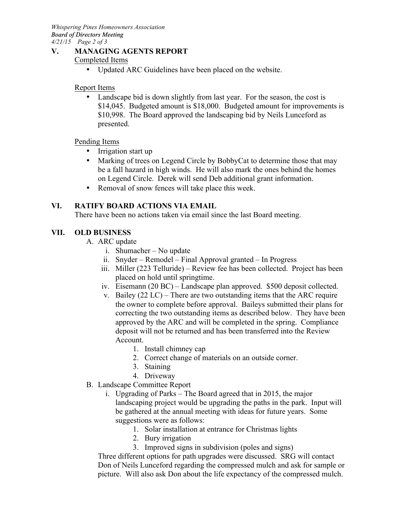**V. MANAGING AGENTS REPORT**

## Completed Items

• Updated ARC Guidelines have been placed on the website.

### Report Items

• Landscape bid is down slightly from last year. For the season, the cost is \$14,045. Budgeted amount is \$18,000. Budgeted amount for improvements is \$10,998. The Board approved the landscaping bid by Neils Lunceford as presented.

### Pending Items

- Irrigation start up
- Marking of trees on Legend Circle by BobbyCat to determine those that may be a fall hazard in high winds. He will also mark the ones behind the homes on Legend Circle. Derek will send Deb additional grant information.
- Removal of snow fences will take place this week.

## **VI. RATIFY BOARD ACTIONS VIA EMAIL**

There have been no actions taken via email since the last Board meeting.

# **VII. OLD BUSINESS**

- A. ARC update
	- i. Shumacher No update
	- ii. Snyder Remodel Final Approval granted In Progress
	- iii. Miller (223 Telluride) Review fee has been collected. Project has been placed on hold until springtime.
	- iv. Eisemann (20 BC) Landscape plan approved. \$500 deposit collected.
	- v. Bailey (22 LC) There are two outstanding items that the ARC require the owner to complete before approval. Baileys submitted their plans for correcting the two outstanding items as described below. They have been approved by the ARC and will be completed in the spring. Compliance deposit will not be returned and has been transferred into the Review Account.
		- 1. Install chimney cap
		- 2. Correct change of materials on an outside corner.
		- 3. Staining
		- 4. Driveway
- B. Landscape Committee Report
	- i. Upgrading of Parks The Board agreed that in 2015, the major landscaping project would be upgrading the paths in the park. Input will be gathered at the annual meeting with ideas for future years. Some suggestions were as follows:
		- 1. Solar installation at entrance for Christmas lights
		- 2. Bury irrigation
		- 3. Improved signs in subdivision (poles and signs)

Three different options for path upgrades were discussed. SRG will contact Don of Neils Lunceford regarding the compressed mulch and ask for sample or picture. Will also ask Don about the life expectancy of the compressed mulch.